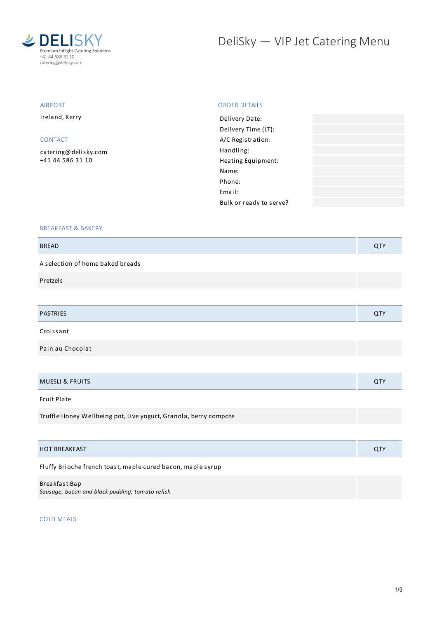

# DeliSky - VIP Jet Catering Menu

# AIRPORT

Ireland, Kerry

## CONTACT

[catering@delisky.com](mailto:catering@delisky.com) +41 44 586 31 10

#### ORDER DETAILS

| Delivery Date:          |  |
|-------------------------|--|
| Delivery Time (LT):     |  |
| A/C Registration:       |  |
| Handling:               |  |
| Heating Equipment:      |  |
| Name:                   |  |
| Phone:                  |  |
| Email:                  |  |
| Bulk or ready to serve? |  |
|                         |  |

## BREAKFAST & BAKERY

| <b>BREAD</b>                                                     | QTY        |
|------------------------------------------------------------------|------------|
| A selection of home baked breads                                 |            |
| Pretzels                                                         |            |
|                                                                  |            |
| <b>PASTRIES</b>                                                  | <b>QTY</b> |
| Croissant                                                        |            |
| Pain au Chocolat                                                 |            |
|                                                                  |            |
| <b>MUESLI &amp; FRUITS</b>                                       | <b>QTY</b> |
| Fruit Plate                                                      |            |
| Truffle Honey Wellbeing pot, Live yogurt, Granola, berry compote |            |

| <b>HOT BREAKFAST</b> | ີ |
|----------------------|---|
|                      |   |

Fluffy Brioche french toast, maple cured bacon, maple syrup

#### Breakfast Bap

*Sausage, bacon and black pudding, tomato relish*

COLD MEALS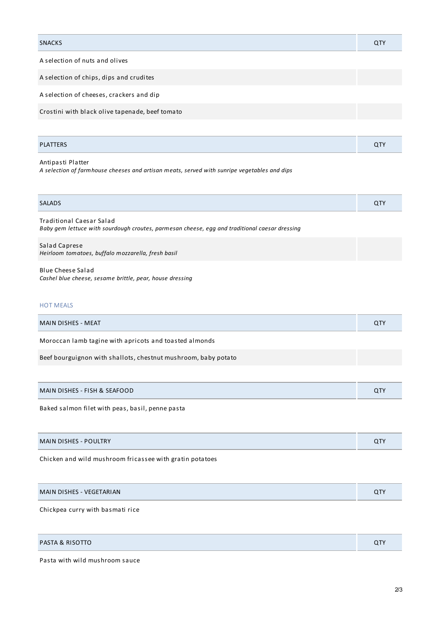| <b>SNACKS</b>                  | Q1 |
|--------------------------------|----|
| A selection of nuts and olives |    |

A selection of chips, dips and crudites

A selection of cheeses, crackers and dip

Crostini with black olive tapenade, beef tomato

| <b>PLATTERS</b> | . . |
|-----------------|-----|
|                 |     |

Antipasti Platter *A selection of farmhouse cheeses and artisan meats, served with sunripe vegetables and dips*

| <b>SALADS</b> |  |
|---------------|--|
|               |  |

Traditional Caesar Salad *Baby gem lettuce with sourdough croutes, parmesan cheese, egg and traditional caesar dressing*

Salad Caprese *Heirloom tomatoes, buffalo mozzarella, fresh basil*

Blue Cheese Salad *Cashel blue cheese, sesame brittle, pear, house dressing*

### HOT MEALS

| MAIN DISHES - MEAT                                     |  |
|--------------------------------------------------------|--|
| Moroccan lamb tagine with apricots and toasted almonds |  |

Beef bourguignon with shallots, chestnut mushroom, baby potato

| MAIN DISHES - FISH & SEAFOOD |
|------------------------------|
|------------------------------|

Baked salmon filet with peas, basil, penne pasta

|  | <b>MAIN DISHES - POULTRY</b><br>~™ |
|--|------------------------------------|
|--|------------------------------------|

Chicken and wild mushroom fricassee with gratin potatoes

| MAIN DISHES - VEGETARIAN | יידי |
|--------------------------|------|
|--------------------------|------|

Chickpea curry with basmati rice

| <b>PASTA &amp; RISOTTO</b> | $\cap$ TV |
|----------------------------|-----------|
|----------------------------|-----------|

Pasta with wild mushroom sauce